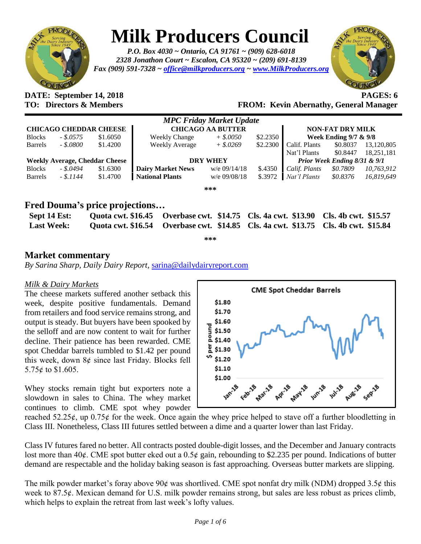

## **Milk Producers Council**

*P.O. Box 4030 ~ Ontario, CA 91761 ~ (909) 628-6018 2328 Jonathon Court ~ Escalon, CA 95320 ~ (209) 691-8139 Fax (909) 591-7328 ~ [office@milkproducers.org](mailto:office@milkproducers.org) ~ [www.MilkProducers.org](http://www.milkproducers.org/)*



### **DATE: September 14, 2018 PAGES: 6**

**TO: Directors & Members FROM: Kevin Abernathy, General Manager**

|                                       |              |          |                          | <b>MPC Friday Market Update</b> |          |                                  |          |            |
|---------------------------------------|--------------|----------|--------------------------|---------------------------------|----------|----------------------------------|----------|------------|
| <b>CHICAGO CHEDDAR CHEESE</b>         |              |          | <b>CHICAGO AA BUTTER</b> |                                 |          | <b>NON-FAT DRY MILK</b>          |          |            |
| <b>Blocks</b>                         | $-.5.0575$   | \$1.6050 | <b>Weekly Change</b>     | $+$ \$.0050                     | \$2.2350 | <b>Week Ending 9/7 &amp; 9/8</b> |          |            |
| <b>Barrels</b>                        | $-.5.0800$   | \$1.4200 | <b>Weekly Average</b>    | $+$ \$.0269                     | \$2.2300 | Calif. Plants                    | \$0.8037 | 13,120,805 |
|                                       |              |          |                          |                                 |          | Nat'l Plants                     | \$0.8447 | 18,251,181 |
| <b>Weekly Average, Cheddar Cheese</b> |              |          | <b>DRY WHEY</b>          |                                 |          | Prior Week Ending 8/31 & 9/1     |          |            |
| <b>Blocks</b>                         | $-.$ \$.0494 | \$1.6300 | <b>Dairy Market News</b> | $w/e$ 09/14/18                  | \$.4350  | Calif. Plants                    | \$0.7809 | 10,763,912 |
| <b>Barrels</b>                        | $-.5.1144$   | \$1.4700 | <b>National Plants</b>   | w/e 09/08/18                    | \$.3972  | Nat'l Plants                     | \$0.8376 | 16,819,649 |
|                                       |              |          |                          | ***                             |          |                                  |          |            |

#### **Fred Douma's price projections…**

| Sept 14 Est:      | Quota cwt. \$16.45 Overbase cwt. \$14.75 Cls. 4a cwt. \$13.90 Cls. 4b cwt. \$15.57 |  |
|-------------------|------------------------------------------------------------------------------------|--|
| <b>Last Week:</b> | Quota cwt. \$16.54 Overbase cwt. \$14.85 Cls. 4a cwt. \$13.75 Cls. 4b cwt. \$15.84 |  |

**\*\*\***

#### **Market commentary**

*By Sarina Sharp, Daily Dairy Report,* [sarina@dailydairyreport.com](mailto:sarina@dailydairyreport.com)

#### *Milk & Dairy Markets*

The cheese markets suffered another setback this week, despite positive fundamentals. Demand from retailers and food service remains strong, and output is steady. But buyers have been spooked by the selloff and are now content to wait for further decline. Their patience has been rewarded. CME spot Cheddar barrels tumbled to \$1.42 per pound this week, down 8ȼ since last Friday. Blocks fell 5.75 $\epsilon$  to \$1.605.

Whey stocks remain tight but exporters note a slowdown in sales to China. The whey market continues to climb. CME spot whey powder



reached  $52.25\ell$ , up  $0.75\ell$  for the week. Once again the whey price helped to stave off a further bloodletting in Class III. Nonetheless, Class III futures settled between a dime and a quarter lower than last Friday.

Class IV futures fared no better. All contracts posted double-digit losses, and the December and January contracts lost more than 40 $\epsilon$ . CME spot butter eked out a 0.5 $\epsilon$  gain, rebounding to \$2.235 per pound. Indications of butter demand are respectable and the holiday baking season is fast approaching. Overseas butter markets are slipping.

The milk powder market's foray above  $90¢$  was shortlived. CME spot nonfat dry milk (NDM) dropped 3.5 $¢$  this week to 87.5¢. Mexican demand for U.S. milk powder remains strong, but sales are less robust as prices climb, which helps to explain the retreat from last week's lofty values.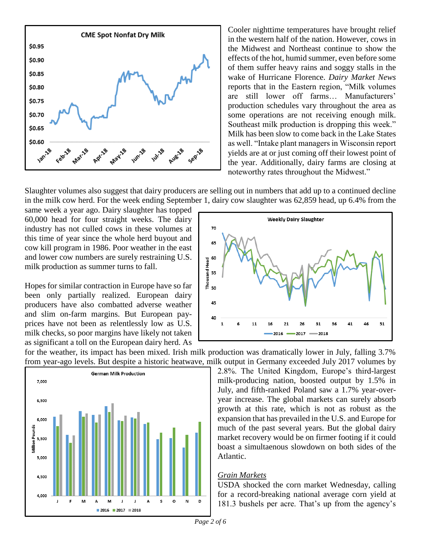

Cooler nighttime temperatures have brought relief in the western half of the nation. However, cows in the Midwest and Northeast continue to show the effects of the hot, humid summer, even before some of them suffer heavy rains and soggy stalls in the wake of Hurricane Florence. *Dairy Market News* reports that in the Eastern region, "Milk volumes are still lower off farms… Manufacturers' production schedules vary throughout the area as some operations are not receiving enough milk. Southeast milk production is dropping this week." Milk has been slow to come back in the Lake States as well. "Intake plant managers in Wisconsin report yields are at or just coming off their lowest point of the year. Additionally, dairy farms are closing at noteworthy rates throughout the Midwest."

Slaughter volumes also suggest that dairy producers are selling out in numbers that add up to a continued decline in the milk cow herd. For the week ending September 1, dairy cow slaughter was 62,859 head, up 6.4% from the

same week a year ago. Dairy slaughter has topped 60,000 head for four straight weeks. The dairy industry has not culled cows in these volumes at this time of year since the whole herd buyout and cow kill program in 1986. Poor weather in the east and lower cow numbers are surely restraining U.S. milk production as summer turns to fall.

Hopes for similar contraction in Europe have so far been only partially realized. European dairy producers have also combatted adverse weather and slim on-farm margins. But European payprices have not been as relentlessly low as U.S. milk checks, so poor margins have likely not taken as significant a toll on the European dairy herd. As



for the weather, its impact has been mixed. Irish milk production was dramatically lower in July, falling 3.7% from year-ago levels. But despite a historic heatwave, milk output in Germany exceeded July 2017 volumes by



2.8%. The United Kingdom, Europe's third-largest milk-producing nation, boosted output by 1.5% in July, and fifth-ranked Poland saw a 1.7% year-overyear increase. The global markets can surely absorb growth at this rate, which is not as robust as the expansion that has prevailed in the U.S. and Europe for much of the past several years. But the global dairy market recovery would be on firmer footing if it could boast a simultaenous slowdown on both sides of the Atlantic.

#### *Grain Markets*

USDA shocked the corn market Wednesday, calling for a record-breaking national average corn yield at 181.3 bushels per acre. That's up from the agency's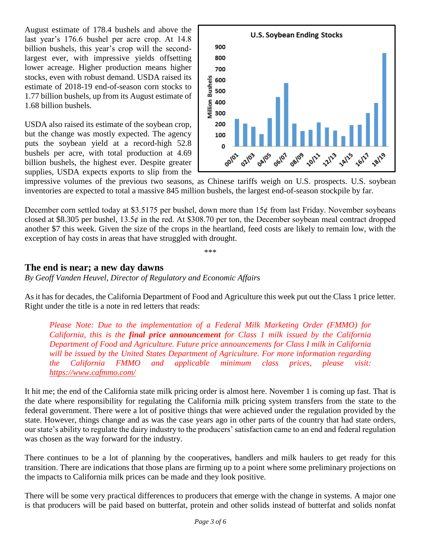August estimate of 178.4 bushels and above the last year's 176.6 bushel per acre crop. At 14.8 billion bushels, this year's crop will the secondlargest ever, with impressive yields offsetting lower acreage. Higher production means higher stocks, even with robust demand. USDA raised its estimate of 2018-19 end-of-season corn stocks to 1.77 billion bushels, up from its August estimate of 1.68 billion bushels.

USDA also raised its estimate of the soybean crop, but the change was mostly expected. The agency puts the soybean yield at a record-high 52.8 bushels per acre, with total production at 4.69 billion bushels, the highest ever. Despite greater supplies, USDA expects exports to slip from the



impressive volumes of the previous two seasons, as Chinese tariffs weigh on U.S. prospects. U.S. soybean inventories are expected to total a massive 845 million bushels, the largest end-of-season stockpile by far.

December corn settled today at \$3.5175 per bushel, down more than  $15¢$  from last Friday. November soybeans closed at \$8.305 per bushel,  $13.5¢$  in the red. At \$308.70 per ton, the December soybean meal contract dropped another \$7 this week. Given the size of the crops in the heartland, feed costs are likely to remain low, with the exception of hay costs in areas that have struggled with drought.

\*\*\*

#### **The end is near; a new day dawns**

*By Geoff Vanden Heuvel, Director of Regulatory and Economic Affairs*

As it has for decades, the California Department of Food and Agriculture this week put out the Class 1 price letter. Right under the title is a note in red letters that reads:

*Please Note: Due to the implementation of a Federal Milk Marketing Order (FMMO) for California, this is the final price announcement for Class 1 milk issued by the California Department of Food and Agriculture. Future price announcements for Class I milk in California will be issued by the United States Department of Agriculture. For more information regarding the California FMMO and applicable minimum class prices, please visit: <https://www.cafmmo.com/>*

It hit me; the end of the California state milk pricing order is almost here. November 1 is coming up fast. That is the date where responsibility for regulating the California milk pricing system transfers from the state to the federal government. There were a lot of positive things that were achieved under the regulation provided by the state. However, things change and as was the case years ago in other parts of the country that had state orders, our state's ability to regulate the dairy industry to the producers' satisfaction came to an end and federal regulation was chosen as the way forward for the industry.

There continues to be a lot of planning by the cooperatives, handlers and milk haulers to get ready for this transition. There are indications that those plans are firming up to a point where some preliminary projections on the impacts to California milk prices can be made and they look positive.

There will be some very practical differences to producers that emerge with the change in systems. A major one is that producers will be paid based on butterfat, protein and other solids instead of butterfat and solids nonfat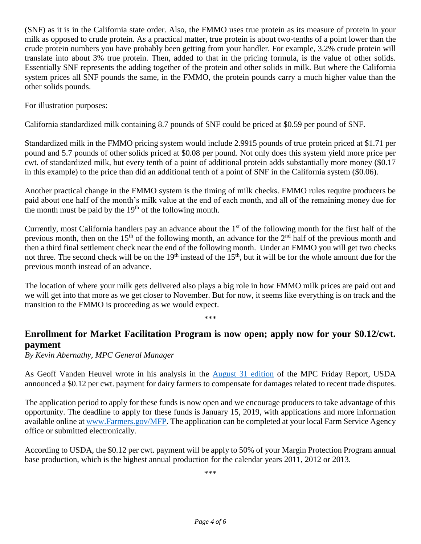(SNF) as it is in the California state order. Also, the FMMO uses true protein as its measure of protein in your milk as opposed to crude protein. As a practical matter, true protein is about two-tenths of a point lower than the crude protein numbers you have probably been getting from your handler. For example, 3.2% crude protein will translate into about 3% true protein. Then, added to that in the pricing formula, is the value of other solids. Essentially SNF represents the adding together of the protein and other solids in milk. But where the California system prices all SNF pounds the same, in the FMMO, the protein pounds carry a much higher value than the other solids pounds.

For illustration purposes:

California standardized milk containing 8.7 pounds of SNF could be priced at \$0.59 per pound of SNF.

Standardized milk in the FMMO pricing system would include 2.9915 pounds of true protein priced at \$1.71 per pound and 5.7 pounds of other solids priced at \$0.08 per pound. Not only does this system yield more price per cwt. of standardized milk, but every tenth of a point of additional protein adds substantially more money (\$0.17 in this example) to the price than did an additional tenth of a point of SNF in the California system (\$0.06).

Another practical change in the FMMO system is the timing of milk checks. FMMO rules require producers be paid about one half of the month's milk value at the end of each month, and all of the remaining money due for the month must be paid by the  $19<sup>th</sup>$  of the following month.

Currently, most California handlers pay an advance about the  $1<sup>st</sup>$  of the following month for the first half of the previous month, then on the 15<sup>th</sup> of the following month, an advance for the  $2<sup>nd</sup>$  half of the previous month and then a third final settlement check near the end of the following month. Under an FMMO you will get two checks not three. The second check will be on the 19<sup>th</sup> instead of the 15<sup>th</sup>, but it will be for the whole amount due for the previous month instead of an advance.

The location of where your milk gets delivered also plays a big role in how FMMO milk prices are paid out and we will get into that more as we get closer to November. But for now, it seems like everything is on track and the transition to the FMMO is proceeding as we would expect.

\*\*\*

#### **Enrollment for Market Facilitation Program is now open; apply now for your \$0.12/cwt. payment**

*By Kevin Abernathy, MPC General Manager*

As Geoff Vanden Heuvel wrote in his analysis in the [August 31 edition](http://www.milkproducerscouncil.org/wp-content/uploads/newsletter_2018/2018-08-31%20MPC%20Newsletter.pdf) of the MPC Friday Report, USDA announced a \$0.12 per cwt. payment for dairy farmers to compensate for damages related to recent trade disputes.

The application period to apply for these funds is now open and we encourage producers to take advantage of this opportunity. The deadline to apply for these funds is January 15, 2019, with applications and more information available online at [www.Farmers.gov/MFP.](http://www.farmers.gov/MFP) The application can be completed at your local Farm Service Agency office or submitted electronically.

According to USDA, the \$0.12 per cwt. payment will be apply to 50% of your Margin Protection Program annual base production, which is the highest annual production for the calendar years 2011, 2012 or 2013.

\*\*\*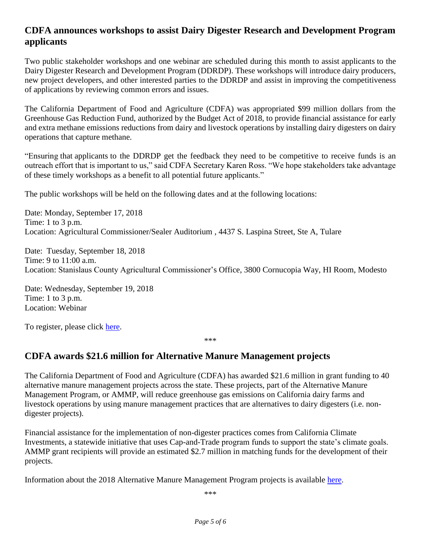#### **CDFA announces workshops to assist Dairy Digester Research and Development Program applicants**

Two public stakeholder workshops and one webinar are scheduled during this month to assist applicants to the Dairy Digester Research and Development Program (DDRDP). These workshops will introduce dairy producers, new project developers, and other interested parties to the DDRDP and assist in improving the competitiveness of applications by reviewing common errors and issues.

The California Department of Food and Agriculture (CDFA) was appropriated \$99 million dollars from the Greenhouse Gas Reduction Fund, authorized by the Budget Act of 2018, to provide financial assistance for early and extra methane emissions reductions from dairy and livestock operations by installing dairy digesters on dairy operations that capture methane.

"Ensuring that applicants to the DDRDP get the feedback they need to be competitive to receive funds is an outreach effort that is important to us," said CDFA Secretary Karen Ross. "We hope stakeholders take advantage of these timely workshops as a benefit to all potential future applicants."

The public workshops will be held on the following dates and at the following locations:

Date: Monday, September 17, 2018 Time: 1 to 3 p.m. Location: Agricultural Commissioner/Sealer Auditorium , 4437 S. Laspina Street, Ste A, Tulare

Date: Tuesday, September 18, 2018 Time: 9 to 11:00 a.m. Location: Stanislaus County Agricultural Commissioner's Office, 3800 Cornucopia Way, HI Room, Modesto

Date: Wednesday, September 19, 2018 Time: 1 to 3 p.m. Location: Webinar

To register, please click [here.](https://attendee.gotowebinar.com/register/1542762541255847427)

\*\*\*

#### **CDFA awards \$21.6 million for Alternative Manure Management projects**

The California Department of Food and Agriculture (CDFA) has awarded \$21.6 million in grant funding to 40 alternative manure management projects across the state. These projects, part of the Alternative Manure Management Program, or AMMP, will reduce greenhouse gas emissions on California dairy farms and livestock operations by using manure management practices that are alternatives to dairy digesters (i.e. nondigester projects).

Financial assistance for the implementation of non-digester practices comes from California Climate Investments, a statewide initiative that uses Cap-and-Trade program funds to support the state's climate goals. AMMP grant recipients will provide an estimated \$2.7 million in matching funds for the development of their projects.

Information about the 2018 Alternative Manure Management Program projects is available [here.](https://www.cdfa.ca.gov/oefi/AMMP/)

\*\*\*